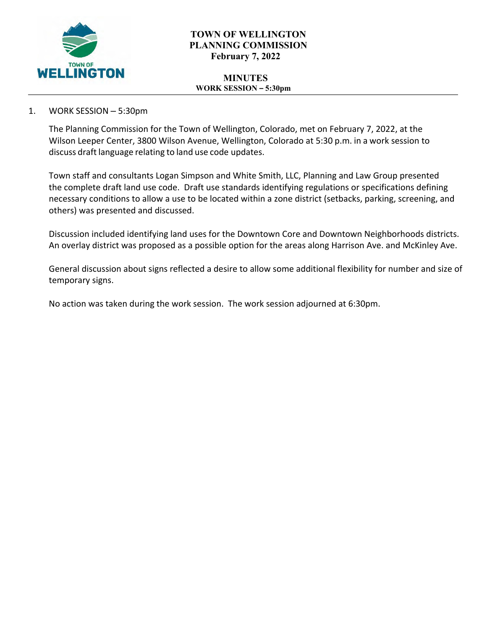

# **TOWN OF WELLINGTON PLANNING COMMISSION February 7, 2022**

#### **MINUTES WORK SESSION – 5:30pm**

# 1. WORK SESSION – 5:30pm

The Planning Commission for the Town of Wellington, Colorado, met on February 7, 2022, at the Wilson Leeper Center, 3800 Wilson Avenue, Wellington, Colorado at 5:30 p.m. in a work session to discuss draft language relating to land use code updates.

Town staff and consultants Logan Simpson and White Smith, LLC, Planning and Law Group presented the complete draft land use code. Draft use standards identifying regulations or specifications defining necessary conditions to allow a use to be located within a zone district (setbacks, parking, screening, and others) was presented and discussed.

Discussion included identifying land uses for the Downtown Core and Downtown Neighborhoods districts. An overlay district was proposed as a possible option for the areas along Harrison Ave. and McKinley Ave.

General discussion about signs reflected a desire to allow some additional flexibility for number and size of temporary signs.

No action was taken during the work session. The work session adjourned at 6:30pm.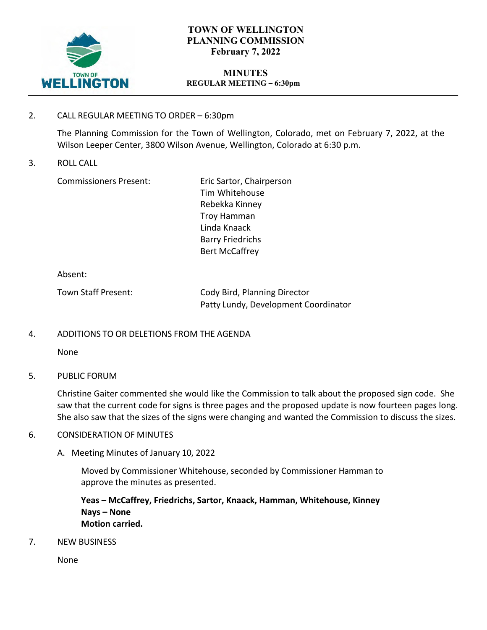

# **TOWN OF WELLINGTON PLANNING COMMISSION February 7, 2022**

### **MINUTES REGULAR MEETING – 6:30pm**

## 2. CALL REGULAR MEETING TO ORDER – 6:30pm

The Planning Commission for the Town of Wellington, Colorado, met on February 7, 2022, at the Wilson Leeper Center, 3800 Wilson Avenue, Wellington, Colorado at 6:30 p.m.

3. ROLL CALL

Commissioners Present: Eric Sartor, Chairperson

Tim Whitehouse Rebekka Kinney Troy Hamman Linda Knaack Barry Friedrichs Bert McCaffrey

Absent:

| Town Staff Present: | Cody Bird, Planning Director         |
|---------------------|--------------------------------------|
|                     | Patty Lundy, Development Coordinator |

# 4. ADDITIONS TO OR DELETIONS FROM THE AGENDA

None

### 5. PUBLIC FORUM

Christine Gaiter commented she would like the Commission to talk about the proposed sign code. She saw that the current code for signs is three pages and the proposed update is now fourteen pages long. She also saw that the sizes of the signs were changing and wanted the Commission to discuss the sizes.

### 6. CONSIDERATION OF MINUTES

A. Meeting Minutes of January 10, 2022

Moved by Commissioner Whitehouse, seconded by Commissioner Hamman to approve the minutes as presented.

**Yeas – McCaffrey, Friedrichs, Sartor, Knaack, Hamman, Whitehouse, Kinney Nays – None Motion carried.**

7. NEW BUSINESS

None